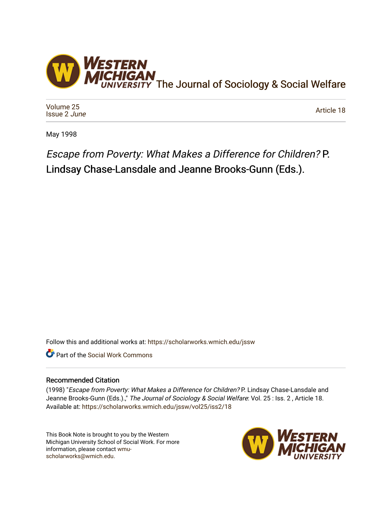

[Volume 25](https://scholarworks.wmich.edu/jssw/vol25) [Issue 2](https://scholarworks.wmich.edu/jssw/vol25/iss2) June

[Article 18](https://scholarworks.wmich.edu/jssw/vol25/iss2/18) 

May 1998

Escape from Poverty: What Makes a Difference for Children? P. Lindsay Chase-Lansdale and Jeanne Brooks-Gunn (Eds.).

Follow this and additional works at: [https://scholarworks.wmich.edu/jssw](https://scholarworks.wmich.edu/jssw?utm_source=scholarworks.wmich.edu%2Fjssw%2Fvol25%2Fiss2%2F18&utm_medium=PDF&utm_campaign=PDFCoverPages) 

**C** Part of the [Social Work Commons](http://network.bepress.com/hgg/discipline/713?utm_source=scholarworks.wmich.edu%2Fjssw%2Fvol25%2Fiss2%2F18&utm_medium=PDF&utm_campaign=PDFCoverPages)

## Recommended Citation

(1998) "Escape from Poverty: What Makes a Difference for Children? P. Lindsay Chase-Lansdale and Jeanne Brooks-Gunn (Eds.).," The Journal of Sociology & Social Welfare: Vol. 25 : Iss. 2, Article 18. Available at: [https://scholarworks.wmich.edu/jssw/vol25/iss2/18](https://scholarworks.wmich.edu/jssw/vol25/iss2/18?utm_source=scholarworks.wmich.edu%2Fjssw%2Fvol25%2Fiss2%2F18&utm_medium=PDF&utm_campaign=PDFCoverPages) 

This Book Note is brought to you by the Western Michigan University School of Social Work. For more information, please contact [wmu](mailto:wmu-scholarworks@wmich.edu)[scholarworks@wmich.edu.](mailto:wmu-scholarworks@wmich.edu)

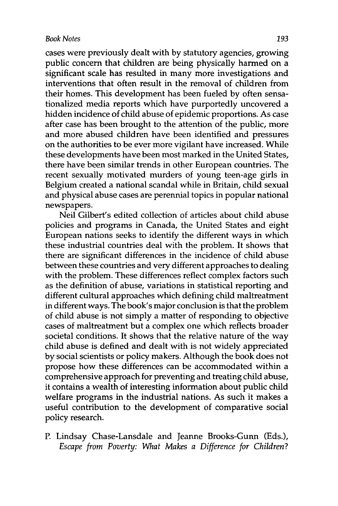cases were previously dealt with **by** statutory agencies, growing public concern that children are being physically harmed on a significant scale has resulted in many more investigations and interventions that often result in the removal of children from their homes. This development has been fueled **by** often sensationalized media reports which have purportedly uncovered a hidden incidence of child abuse of epidemic proportions. As case after case has been brought to the attention of the public, more and more abused children have been identified and pressures on the authorities to be ever more vigilant have increased. While these developments have been most marked in the United States, there have been similar trends in other European countries. The recent sexually motivated murders of young teen-age girls in Belgium created a national scandal while in Britain, child sexual and physical abuse cases are perennial topics in popular national newspapers.

Neil Gilbert's edited collection of articles about child abuse policies and programs in Canada, the United States and eight European nations seeks to identify the different ways in which these industrial countries deal with the problem. It shows that there are significant differences in the incidence of child abuse between these countries and very different approaches to dealing with the problem. These differences reflect complex factors such as the definition of abuse, variations in statistical reporting and different cultural approaches which defining child maltreatment in different ways. The book's major conclusion is that the problem of child abuse is not simply a matter of responding to objective cases of maltreatment but a complex one which reflects broader societal conditions. It shows that the relative nature of the way child abuse is defined and dealt with is not widely appreciated **by** social scientists or policy makers. Although the book does not propose how these differences can be accommodated within a comprehensive approach for preventing and treating child abuse, it contains a wealth of interesting information about public child welfare programs in the industrial nations. As such it makes a useful contribution to the development of comparative social policy research.

P. Lindsay Chase-Lansdale and Jeanne Brooks-Gunn (Eds.), *Escape from Poverty: What Makes a Difference for Children?*